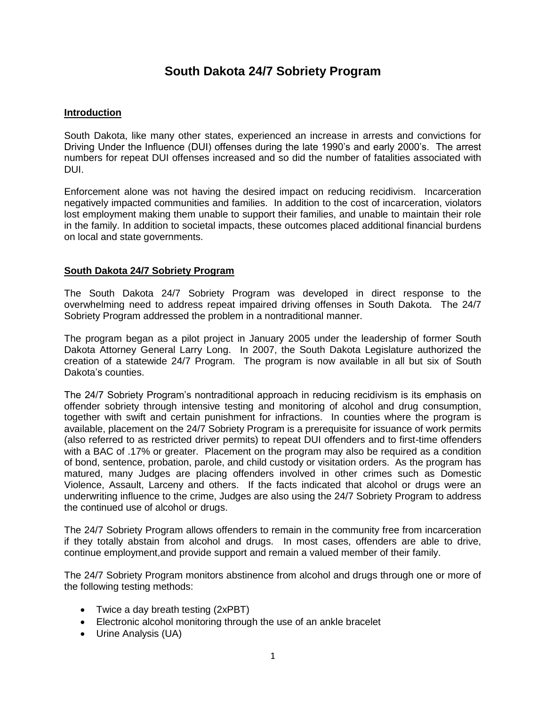# **South Dakota 24/7 Sobriety Program**

# **Introduction**

South Dakota, like many other states, experienced an increase in arrests and convictions for Driving Under the Influence (DUI) offenses during the late 1990's and early 2000's. The arrest numbers for repeat DUI offenses increased and so did the number of fatalities associated with DUI.

Enforcement alone was not having the desired impact on reducing recidivism. Incarceration negatively impacted communities and families. In addition to the cost of incarceration, violators lost employment making them unable to support their families, and unable to maintain their role in the family. In addition to societal impacts, these outcomes placed additional financial burdens on local and state governments.

## **South Dakota 24/7 Sobriety Program**

The South Dakota 24/7 Sobriety Program was developed in direct response to the overwhelming need to address repeat impaired driving offenses in South Dakota. The 24/7 Sobriety Program addressed the problem in a nontraditional manner.

The program began as a pilot project in January 2005 under the leadership of former South Dakota Attorney General Larry Long. In 2007, the South Dakota Legislature authorized the creation of a statewide 24/7 Program. The program is now available in all but six of South Dakota's counties.

The 24/7 Sobriety Program's nontraditional approach in reducing recidivism is its emphasis on offender sobriety through intensive testing and monitoring of alcohol and drug consumption, together with swift and certain punishment for infractions. In counties where the program is available, placement on the 24/7 Sobriety Program is a prerequisite for issuance of work permits (also referred to as restricted driver permits) to repeat DUI offenders and to first-time offenders with a BAC of .17% or greater. Placement on the program may also be required as a condition of bond, sentence, probation, parole, and child custody or visitation orders. As the program has matured, many Judges are placing offenders involved in other crimes such as Domestic Violence, Assault, Larceny and others. If the facts indicated that alcohol or drugs were an underwriting influence to the crime, Judges are also using the 24/7 Sobriety Program to address the continued use of alcohol or drugs.

The 24/7 Sobriety Program allows offenders to remain in the community free from incarceration if they totally abstain from alcohol and drugs. In most cases, offenders are able to drive, continue employment,and provide support and remain a valued member of their family.

The 24/7 Sobriety Program monitors abstinence from alcohol and drugs through one or more of the following testing methods:

- Twice a day breath testing (2xPBT)
- Electronic alcohol monitoring through the use of an ankle bracelet
- Urine Analysis (UA)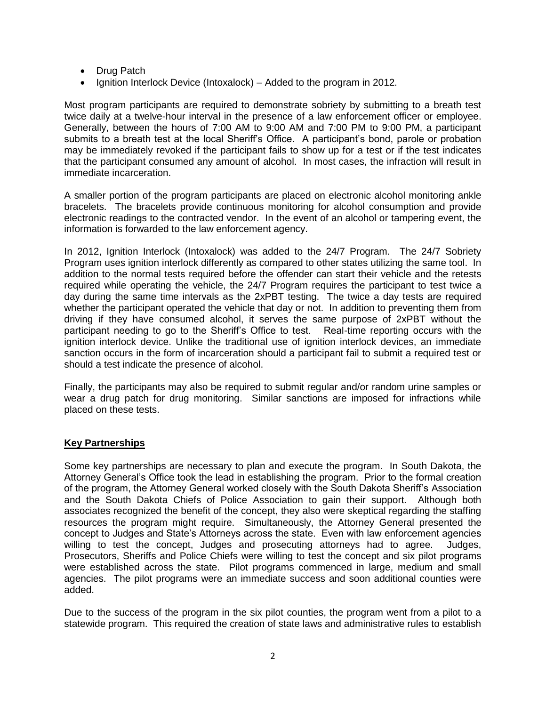- Drug Patch
- Ignition Interlock Device (Intoxalock) Added to the program in 2012.

Most program participants are required to demonstrate sobriety by submitting to a breath test twice daily at a twelve-hour interval in the presence of a law enforcement officer or employee. Generally, between the hours of 7:00 AM to 9:00 AM and 7:00 PM to 9:00 PM, a participant submits to a breath test at the local Sheriff's Office. A participant's bond, parole or probation may be immediately revoked if the participant fails to show up for a test or if the test indicates that the participant consumed any amount of alcohol. In most cases, the infraction will result in immediate incarceration.

A smaller portion of the program participants are placed on electronic alcohol monitoring ankle bracelets. The bracelets provide continuous monitoring for alcohol consumption and provide electronic readings to the contracted vendor. In the event of an alcohol or tampering event, the information is forwarded to the law enforcement agency.

In 2012, Ignition Interlock (Intoxalock) was added to the 24/7 Program. The 24/7 Sobriety Program uses ignition interlock differently as compared to other states utilizing the same tool. In addition to the normal tests required before the offender can start their vehicle and the retests required while operating the vehicle, the 24/7 Program requires the participant to test twice a day during the same time intervals as the 2xPBT testing. The twice a day tests are required whether the participant operated the vehicle that day or not. In addition to preventing them from driving if they have consumed alcohol, it serves the same purpose of 2xPBT without the participant needing to go to the Sheriff's Office to test. Real-time reporting occurs with the ignition interlock device. Unlike the traditional use of ignition interlock devices, an immediate sanction occurs in the form of incarceration should a participant fail to submit a required test or should a test indicate the presence of alcohol.

Finally, the participants may also be required to submit regular and/or random urine samples or wear a drug patch for drug monitoring. Similar sanctions are imposed for infractions while placed on these tests.

## **Key Partnerships**

Some key partnerships are necessary to plan and execute the program. In South Dakota, the Attorney General's Office took the lead in establishing the program. Prior to the formal creation of the program, the Attorney General worked closely with the South Dakota Sheriff's Association and the South Dakota Chiefs of Police Association to gain their support. Although both associates recognized the benefit of the concept, they also were skeptical regarding the staffing resources the program might require. Simultaneously, the Attorney General presented the concept to Judges and State's Attorneys across the state. Even with law enforcement agencies willing to test the concept, Judges and prosecuting attorneys had to agree. Judges, Prosecutors, Sheriffs and Police Chiefs were willing to test the concept and six pilot programs were established across the state. Pilot programs commenced in large, medium and small agencies. The pilot programs were an immediate success and soon additional counties were added.

Due to the success of the program in the six pilot counties, the program went from a pilot to a statewide program. This required the creation of state laws and administrative rules to establish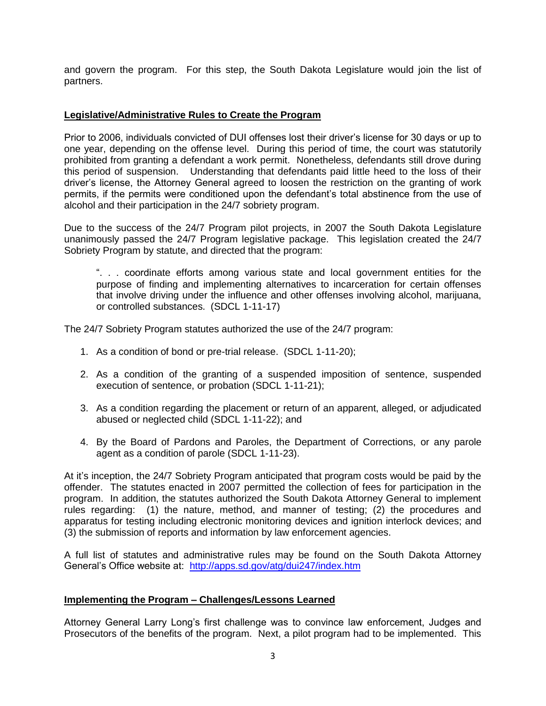and govern the program. For this step, the South Dakota Legislature would join the list of partners.

#### **Legislative/Administrative Rules to Create the Program**

Prior to 2006, individuals convicted of DUI offenses lost their driver's license for 30 days or up to one year, depending on the offense level. During this period of time, the court was statutorily prohibited from granting a defendant a work permit. Nonetheless, defendants still drove during this period of suspension. Understanding that defendants paid little heed to the loss of their driver's license, the Attorney General agreed to loosen the restriction on the granting of work permits, if the permits were conditioned upon the defendant's total abstinence from the use of alcohol and their participation in the 24/7 sobriety program.

Due to the success of the 24/7 Program pilot projects, in 2007 the South Dakota Legislature unanimously passed the 24/7 Program legislative package. This legislation created the 24/7 Sobriety Program by statute, and directed that the program:

". . . coordinate efforts among various state and local government entities for the purpose of finding and implementing alternatives to incarceration for certain offenses that involve driving under the influence and other offenses involving alcohol, marijuana, or controlled substances. (SDCL 1-11-17)

The 24/7 Sobriety Program statutes authorized the use of the 24/7 program:

- 1. As a condition of bond or pre-trial release. (SDCL 1-11-20);
- 2. As a condition of the granting of a suspended imposition of sentence, suspended execution of sentence, or probation (SDCL 1-11-21);
- 3. As a condition regarding the placement or return of an apparent, alleged, or adjudicated abused or neglected child (SDCL 1-11-22); and
- 4. By the Board of Pardons and Paroles, the Department of Corrections, or any parole agent as a condition of parole (SDCL 1-11-23).

At it's inception, the 24/7 Sobriety Program anticipated that program costs would be paid by the offender. The statutes enacted in 2007 permitted the collection of fees for participation in the program. In addition, the statutes authorized the South Dakota Attorney General to implement rules regarding: (1) the nature, method, and manner of testing; (2) the procedures and apparatus for testing including electronic monitoring devices and ignition interlock devices; and (3) the submission of reports and information by law enforcement agencies.

A full list of statutes and administrative rules may be found on the South Dakota Attorney General's Office website at: <http://apps.sd.gov/atg/dui247/index.htm>

#### **Implementing the Program – Challenges/Lessons Learned**

Attorney General Larry Long's first challenge was to convince law enforcement, Judges and Prosecutors of the benefits of the program. Next, a pilot program had to be implemented. This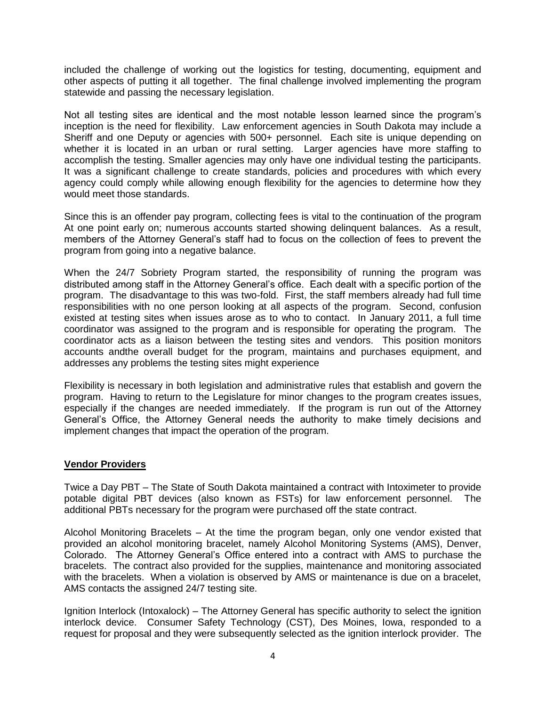included the challenge of working out the logistics for testing, documenting, equipment and other aspects of putting it all together. The final challenge involved implementing the program statewide and passing the necessary legislation.

Not all testing sites are identical and the most notable lesson learned since the program's inception is the need for flexibility. Law enforcement agencies in South Dakota may include a Sheriff and one Deputy or agencies with 500+ personnel. Each site is unique depending on whether it is located in an urban or rural setting. Larger agencies have more staffing to accomplish the testing. Smaller agencies may only have one individual testing the participants. It was a significant challenge to create standards, policies and procedures with which every agency could comply while allowing enough flexibility for the agencies to determine how they would meet those standards.

Since this is an offender pay program, collecting fees is vital to the continuation of the program At one point early on; numerous accounts started showing delinquent balances. As a result, members of the Attorney General's staff had to focus on the collection of fees to prevent the program from going into a negative balance.

When the 24/7 Sobriety Program started, the responsibility of running the program was distributed among staff in the Attorney General's office. Each dealt with a specific portion of the program. The disadvantage to this was two-fold. First, the staff members already had full time responsibilities with no one person looking at all aspects of the program. Second, confusion existed at testing sites when issues arose as to who to contact. In January 2011, a full time coordinator was assigned to the program and is responsible for operating the program. The coordinator acts as a liaison between the testing sites and vendors. This position monitors accounts andthe overall budget for the program, maintains and purchases equipment, and addresses any problems the testing sites might experience

Flexibility is necessary in both legislation and administrative rules that establish and govern the program. Having to return to the Legislature for minor changes to the program creates issues, especially if the changes are needed immediately. If the program is run out of the Attorney General's Office, the Attorney General needs the authority to make timely decisions and implement changes that impact the operation of the program.

## **Vendor Providers**

Twice a Day PBT – The State of South Dakota maintained a contract with Intoximeter to provide potable digital PBT devices (also known as FSTs) for law enforcement personnel. The additional PBTs necessary for the program were purchased off the state contract.

Alcohol Monitoring Bracelets – At the time the program began, only one vendor existed that provided an alcohol monitoring bracelet, namely Alcohol Monitoring Systems (AMS), Denver, Colorado. The Attorney General's Office entered into a contract with AMS to purchase the bracelets. The contract also provided for the supplies, maintenance and monitoring associated with the bracelets. When a violation is observed by AMS or maintenance is due on a bracelet, AMS contacts the assigned 24/7 testing site.

Ignition Interlock (Intoxalock) – The Attorney General has specific authority to select the ignition interlock device. Consumer Safety Technology (CST), Des Moines, Iowa, responded to a request for proposal and they were subsequently selected as the ignition interlock provider. The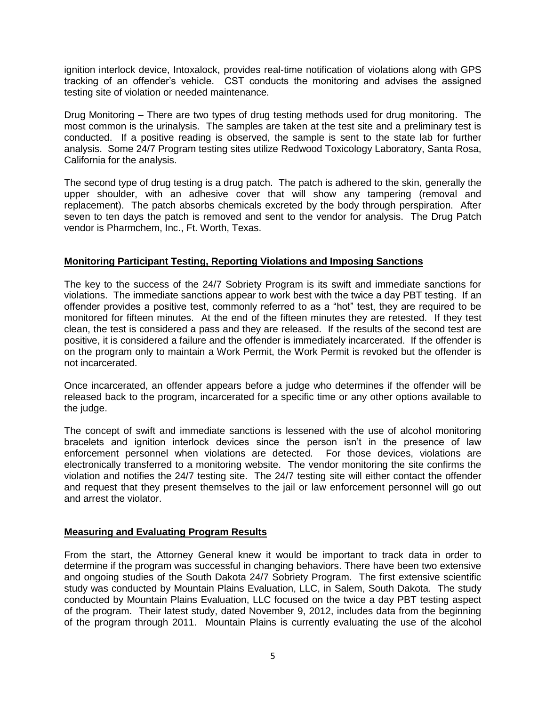ignition interlock device, Intoxalock, provides real-time notification of violations along with GPS tracking of an offender's vehicle. CST conducts the monitoring and advises the assigned testing site of violation or needed maintenance.

Drug Monitoring – There are two types of drug testing methods used for drug monitoring. The most common is the urinalysis. The samples are taken at the test site and a preliminary test is conducted. If a positive reading is observed, the sample is sent to the state lab for further analysis. Some 24/7 Program testing sites utilize Redwood Toxicology Laboratory, Santa Rosa, California for the analysis.

The second type of drug testing is a drug patch. The patch is adhered to the skin, generally the upper shoulder, with an adhesive cover that will show any tampering (removal and replacement). The patch absorbs chemicals excreted by the body through perspiration. After seven to ten days the patch is removed and sent to the vendor for analysis. The Drug Patch vendor is Pharmchem, Inc., Ft. Worth, Texas.

## **Monitoring Participant Testing, Reporting Violations and Imposing Sanctions**

The key to the success of the 24/7 Sobriety Program is its swift and immediate sanctions for violations. The immediate sanctions appear to work best with the twice a day PBT testing. If an offender provides a positive test, commonly referred to as a "hot" test, they are required to be monitored for fifteen minutes. At the end of the fifteen minutes they are retested. If they test clean, the test is considered a pass and they are released. If the results of the second test are positive, it is considered a failure and the offender is immediately incarcerated. If the offender is on the program only to maintain a Work Permit, the Work Permit is revoked but the offender is not incarcerated.

Once incarcerated, an offender appears before a judge who determines if the offender will be released back to the program, incarcerated for a specific time or any other options available to the judge.

The concept of swift and immediate sanctions is lessened with the use of alcohol monitoring bracelets and ignition interlock devices since the person isn't in the presence of law enforcement personnel when violations are detected. For those devices, violations are electronically transferred to a monitoring website. The vendor monitoring the site confirms the violation and notifies the 24/7 testing site. The 24/7 testing site will either contact the offender and request that they present themselves to the jail or law enforcement personnel will go out and arrest the violator.

## **Measuring and Evaluating Program Results**

From the start, the Attorney General knew it would be important to track data in order to determine if the program was successful in changing behaviors. There have been two extensive and ongoing studies of the South Dakota 24/7 Sobriety Program. The first extensive scientific study was conducted by Mountain Plains Evaluation, LLC, in Salem, South Dakota. The study conducted by Mountain Plains Evaluation, LLC focused on the twice a day PBT testing aspect of the program. Their latest study, dated November 9, 2012, includes data from the beginning of the program through 2011. Mountain Plains is currently evaluating the use of the alcohol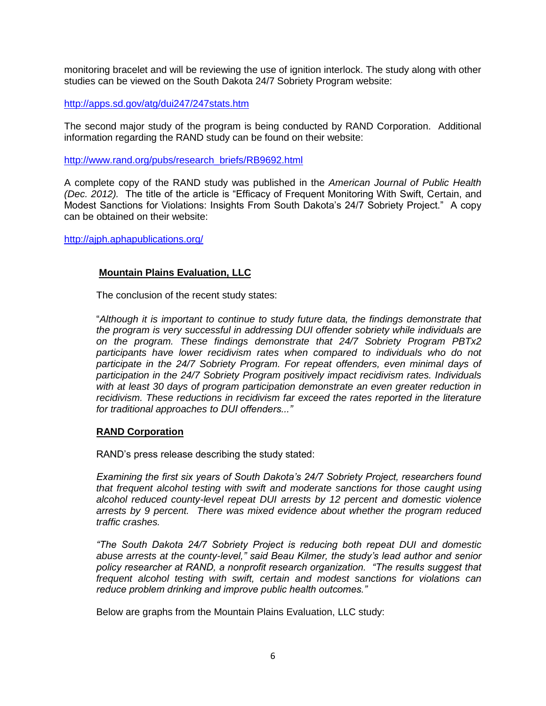monitoring bracelet and will be reviewing the use of ignition interlock. The study along with other studies can be viewed on the South Dakota 24/7 Sobriety Program website:

<http://apps.sd.gov/atg/dui247/247stats.htm>

The second major study of the program is being conducted by RAND Corporation. Additional information regarding the RAND study can be found on their website:

[http://www.rand.org/pubs/research\\_briefs/RB9692.html](http://www.rand.org/pubs/research_briefs/RB9692.html)

A complete copy of the RAND study was published in the *American Journal of Public Health (Dec. 2012).* The title of the article is "Efficacy of Frequent Monitoring With Swift, Certain, and Modest Sanctions for Violations: Insights From South Dakota's 24/7 Sobriety Project." A copy can be obtained on their website:

<http://ajph.aphapublications.org/>

## **Mountain Plains Evaluation, LLC**

The conclusion of the recent study states:

"*Although it is important to continue to study future data, the findings demonstrate that the program is very successful in addressing DUI offender sobriety while individuals are on the program. These findings demonstrate that 24/7 Sobriety Program PBTx2*  participants have lower recidivism rates when compared to individuals who do not *participate in the 24/7 Sobriety Program. For repeat offenders, even minimal days of participation in the 24/7 Sobriety Program positively impact recidivism rates. Individuals with at least 30 days of program participation demonstrate an even greater reduction in recidivism. These reductions in recidivism far exceed the rates reported in the literature for traditional approaches to DUI offenders..."*

#### **RAND Corporation**

RAND's press release describing the study stated:

*Examining the first six years of South Dakota's 24/7 Sobriety Project, researchers found that frequent alcohol testing with swift and moderate sanctions for those caught using alcohol reduced county-level repeat DUI arrests by 12 percent and domestic violence arrests by 9 percent. There was mixed evidence about whether the program reduced traffic crashes.*

*"The South Dakota 24/7 Sobriety Project is reducing both repeat DUI and domestic abuse arrests at the county-level," said Beau Kilmer, the study's lead author and senior policy researcher at RAND, a nonprofit research organization. "The results suggest that frequent alcohol testing with swift, certain and modest sanctions for violations can reduce problem drinking and improve public health outcomes."*

Below are graphs from the Mountain Plains Evaluation, LLC study: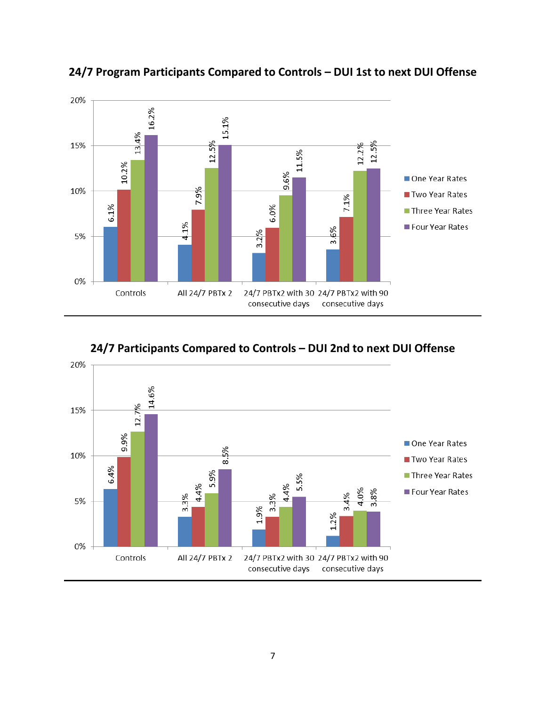

**24/7 Program Participants Compared to Controls – DUI 1st to next DUI Offense**



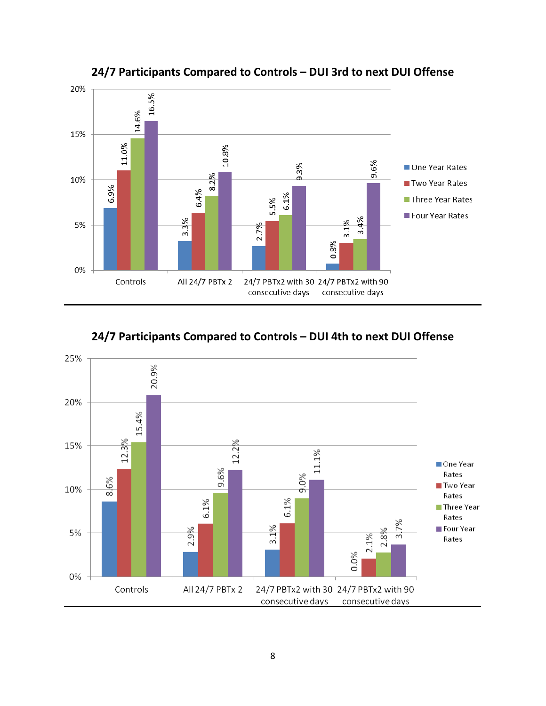

**24/7 Participants Compared to Controls – DUI 3rd to next DUI Offense**



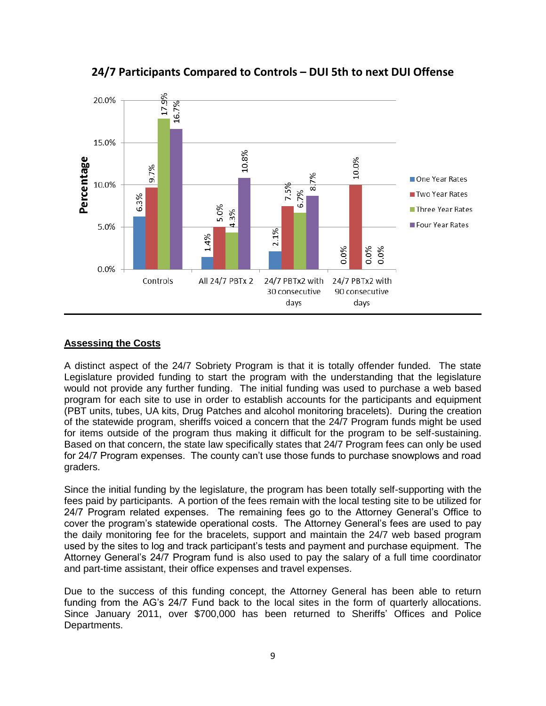

**24/7 Participants Compared to Controls – DUI 5th to next DUI Offense**

# **Assessing the Costs**

A distinct aspect of the 24/7 Sobriety Program is that it is totally offender funded. The state Legislature provided funding to start the program with the understanding that the legislature would not provide any further funding. The initial funding was used to purchase a web based program for each site to use in order to establish accounts for the participants and equipment (PBT units, tubes, UA kits, Drug Patches and alcohol monitoring bracelets). During the creation of the statewide program, sheriffs voiced a concern that the 24/7 Program funds might be used for items outside of the program thus making it difficult for the program to be self-sustaining. Based on that concern, the state law specifically states that 24/7 Program fees can only be used for 24/7 Program expenses. The county can't use those funds to purchase snowplows and road graders.

Since the initial funding by the legislature, the program has been totally self-supporting with the fees paid by participants. A portion of the fees remain with the local testing site to be utilized for 24/7 Program related expenses. The remaining fees go to the Attorney General's Office to cover the program's statewide operational costs. The Attorney General's fees are used to pay the daily monitoring fee for the bracelets, support and maintain the 24/7 web based program used by the sites to log and track participant's tests and payment and purchase equipment. The Attorney General's 24/7 Program fund is also used to pay the salary of a full time coordinator and part-time assistant, their office expenses and travel expenses.

Due to the success of this funding concept, the Attorney General has been able to return funding from the AG's 24/7 Fund back to the local sites in the form of quarterly allocations. Since January 2011, over \$700,000 has been returned to Sheriffs' Offices and Police Departments.